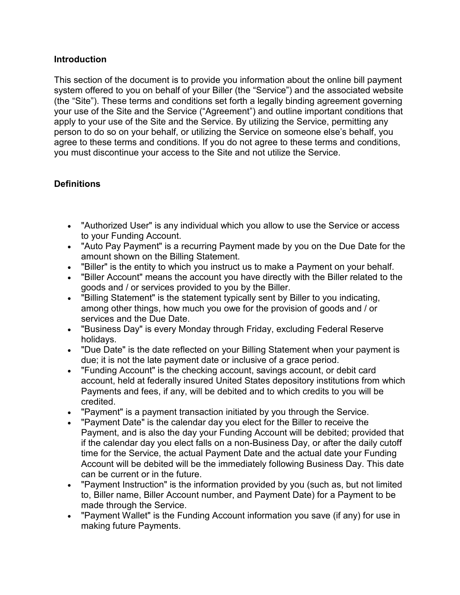### **Introduction**

This section of the document is to provide you information about the online bill payment system offered to you on behalf of your Biller (the "Service") and the associated website (the "Site"). These terms and conditions set forth a legally binding agreement governing your use of the Site and the Service ("Agreement") and outline important conditions that apply to your use of the Site and the Service. By utilizing the Service, permitting any person to do so on your behalf, or utilizing the Service on someone else's behalf, you agree to these terms and conditions. If you do not agree to these terms and conditions, you must discontinue your access to the Site and not utilize the Service.

# **Definitions**

- "Authorized User" is any individual which you allow to use the Service or access to your Funding Account.
- "Auto Pay Payment" is a recurring Payment made by you on the Due Date for the amount shown on the Billing Statement.
- "Biller" is the entity to which you instruct us to make a Payment on your behalf.
- "Biller Account" means the account you have directly with the Biller related to the goods and / or services provided to you by the Biller.
- "Billing Statement" is the statement typically sent by Biller to you indicating, among other things, how much you owe for the provision of goods and / or services and the Due Date.
- "Business Day" is every Monday through Friday, excluding Federal Reserve holidays.
- "Due Date" is the date reflected on your Billing Statement when your payment is due; it is not the late payment date or inclusive of a grace period.
- "Funding Account" is the checking account, savings account, or debit card account, held at federally insured United States depository institutions from which Payments and fees, if any, will be debited and to which credits to you will be credited.
- "Payment" is a payment transaction initiated by you through the Service.
- "Payment Date" is the calendar day you elect for the Biller to receive the Payment, and is also the day your Funding Account will be debited; provided that if the calendar day you elect falls on a non-Business Day, or after the daily cutoff time for the Service, the actual Payment Date and the actual date your Funding Account will be debited will be the immediately following Business Day. This date can be current or in the future.
- "Payment Instruction" is the information provided by you (such as, but not limited to, Biller name, Biller Account number, and Payment Date) for a Payment to be made through the Service.
- "Payment Wallet" is the Funding Account information you save (if any) for use in making future Payments.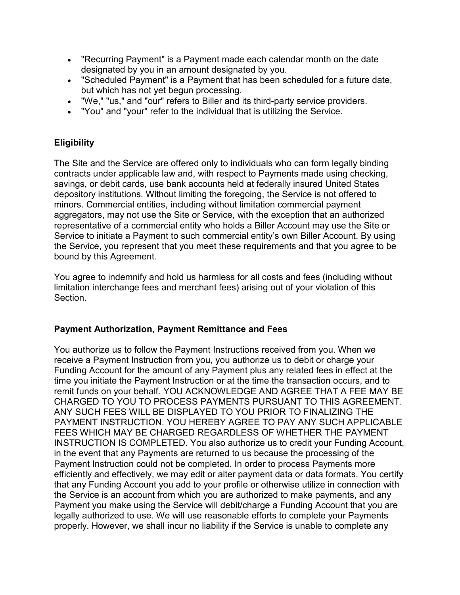- "Recurring Payment" is a Payment made each calendar month on the date designated by you in an amount designated by you.
- "Scheduled Payment" is a Payment that has been scheduled for a future date, but which has not yet begun processing.
- "We," "us," and "our" refers to Biller and its third-party service providers.
- "You" and "your" refer to the individual that is utilizing the Service.

# **Eligibility**

The Site and the Service are offered only to individuals who can form legally binding contracts under applicable law and, with respect to Payments made using checking, savings, or debit cards, use bank accounts held at federally insured United States depository institutions. Without limiting the foregoing, the Service is not offered to minors. Commercial entities, including without limitation commercial payment aggregators, may not use the Site or Service, with the exception that an authorized representative of a commercial entity who holds a Biller Account may use the Site or Service to initiate a Payment to such commercial entity's own Biller Account. By using the Service, you represent that you meet these requirements and that you agree to be bound by this Agreement.

You agree to indemnify and hold us harmless for all costs and fees (including without limitation interchange fees and merchant fees) arising out of your violation of this Section.

## **Payment Authorization, Payment Remittance and Fees**

You authorize us to follow the Payment Instructions received from you. When we receive a Payment Instruction from you, you authorize us to debit or charge your Funding Account for the amount of any Payment plus any related fees in effect at the time you initiate the Payment Instruction or at the time the transaction occurs, and to remit funds on your behalf. YOU ACKNOWLEDGE AND AGREE THAT A FEE MAY BE CHARGED TO YOU TO PROCESS PAYMENTS PURSUANT TO THIS AGREEMENT. ANY SUCH FEES WILL BE DISPLAYED TO YOU PRIOR TO FINALIZING THE PAYMENT INSTRUCTION. YOU HEREBY AGREE TO PAY ANY SUCH APPLICABLE FEES WHICH MAY BE CHARGED REGARDLESS OF WHETHER THE PAYMENT INSTRUCTION IS COMPLETED. You also authorize us to credit your Funding Account, in the event that any Payments are returned to us because the processing of the Payment Instruction could not be completed. In order to process Payments more efficiently and effectively, we may edit or alter payment data or data formats. You certify that any Funding Account you add to your profile or otherwise utilize in connection with the Service is an account from which you are authorized to make payments, and any Payment you make using the Service will debit/charge a Funding Account that you are legally authorized to use. We will use reasonable efforts to complete your Payments properly. However, we shall incur no liability if the Service is unable to complete any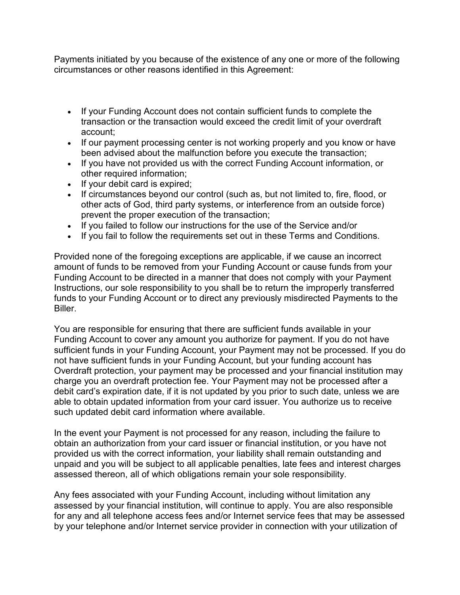Payments initiated by you because of the existence of any one or more of the following circumstances or other reasons identified in this Agreement:

- If your Funding Account does not contain sufficient funds to complete the transaction or the transaction would exceed the credit limit of your overdraft account;
- If our payment processing center is not working properly and you know or have been advised about the malfunction before you execute the transaction;
- If you have not provided us with the correct Funding Account information, or other required information;
- If your debit card is expired;
- If circumstances beyond our control (such as, but not limited to, fire, flood, or other acts of God, third party systems, or interference from an outside force) prevent the proper execution of the transaction;
- If you failed to follow our instructions for the use of the Service and/or
- If you fail to follow the requirements set out in these Terms and Conditions.

Provided none of the foregoing exceptions are applicable, if we cause an incorrect amount of funds to be removed from your Funding Account or cause funds from your Funding Account to be directed in a manner that does not comply with your Payment Instructions, our sole responsibility to you shall be to return the improperly transferred funds to your Funding Account or to direct any previously misdirected Payments to the Biller.

You are responsible for ensuring that there are sufficient funds available in your Funding Account to cover any amount you authorize for payment. If you do not have sufficient funds in your Funding Account, your Payment may not be processed. If you do not have sufficient funds in your Funding Account, but your funding account has Overdraft protection, your payment may be processed and your financial institution may charge you an overdraft protection fee. Your Payment may not be processed after a debit card's expiration date, if it is not updated by you prior to such date, unless we are able to obtain updated information from your card issuer. You authorize us to receive such updated debit card information where available.

In the event your Payment is not processed for any reason, including the failure to obtain an authorization from your card issuer or financial institution, or you have not provided us with the correct information, your liability shall remain outstanding and unpaid and you will be subject to all applicable penalties, late fees and interest charges assessed thereon, all of which obligations remain your sole responsibility.

Any fees associated with your Funding Account, including without limitation any assessed by your financial institution, will continue to apply. You are also responsible for any and all telephone access fees and/or Internet service fees that may be assessed by your telephone and/or Internet service provider in connection with your utilization of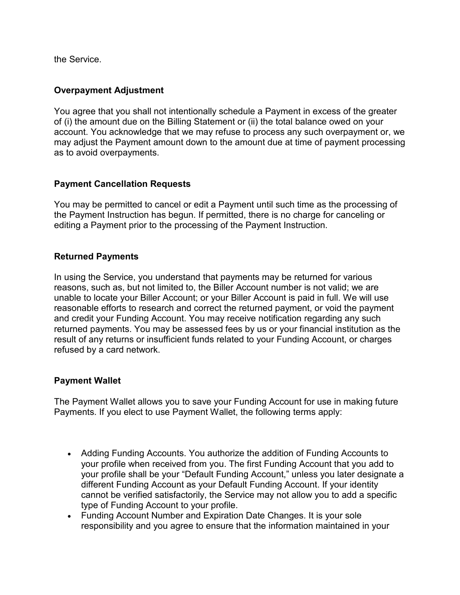the Service.

#### **Overpayment Adjustment**

You agree that you shall not intentionally schedule a Payment in excess of the greater of (i) the amount due on the Billing Statement or (ii) the total balance owed on your account. You acknowledge that we may refuse to process any such overpayment or, we may adjust the Payment amount down to the amount due at time of payment processing as to avoid overpayments.

### **Payment Cancellation Requests**

You may be permitted to cancel or edit a Payment until such time as the processing of the Payment Instruction has begun. If permitted, there is no charge for canceling or editing a Payment prior to the processing of the Payment Instruction.

#### **Returned Payments**

In using the Service, you understand that payments may be returned for various reasons, such as, but not limited to, the Biller Account number is not valid; we are unable to locate your Biller Account; or your Biller Account is paid in full. We will use reasonable efforts to research and correct the returned payment, or void the payment and credit your Funding Account. You may receive notification regarding any such returned payments. You may be assessed fees by us or your financial institution as the result of any returns or insufficient funds related to your Funding Account, or charges refused by a card network.

#### **Payment Wallet**

The Payment Wallet allows you to save your Funding Account for use in making future Payments. If you elect to use Payment Wallet, the following terms apply:

- Adding Funding Accounts. You authorize the addition of Funding Accounts to your profile when received from you. The first Funding Account that you add to your profile shall be your "Default Funding Account," unless you later designate a different Funding Account as your Default Funding Account. If your identity cannot be verified satisfactorily, the Service may not allow you to add a specific type of Funding Account to your profile.
- Funding Account Number and Expiration Date Changes. It is your sole responsibility and you agree to ensure that the information maintained in your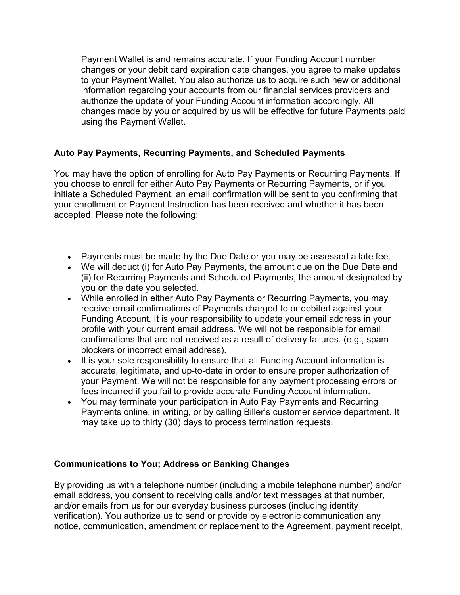Payment Wallet is and remains accurate. If your Funding Account number changes or your debit card expiration date changes, you agree to make updates to your Payment Wallet. You also authorize us to acquire such new or additional information regarding your accounts from our financial services providers and authorize the update of your Funding Account information accordingly. All changes made by you or acquired by us will be effective for future Payments paid using the Payment Wallet.

## **Auto Pay Payments, Recurring Payments, and Scheduled Payments**

You may have the option of enrolling for Auto Pay Payments or Recurring Payments. If you choose to enroll for either Auto Pay Payments or Recurring Payments, or if you initiate a Scheduled Payment, an email confirmation will be sent to you confirming that your enrollment or Payment Instruction has been received and whether it has been accepted. Please note the following:

- Payments must be made by the Due Date or you may be assessed a late fee.
- We will deduct (i) for Auto Pay Payments, the amount due on the Due Date and (ii) for Recurring Payments and Scheduled Payments, the amount designated by you on the date you selected.
- While enrolled in either Auto Pay Payments or Recurring Payments, you may receive email confirmations of Payments charged to or debited against your Funding Account. It is your responsibility to update your email address in your profile with your current email address. We will not be responsible for email confirmations that are not received as a result of delivery failures. (e.g., spam blockers or incorrect email address).
- It is your sole responsibility to ensure that all Funding Account information is accurate, legitimate, and up-to-date in order to ensure proper authorization of your Payment. We will not be responsible for any payment processing errors or fees incurred if you fail to provide accurate Funding Account information.
- You may terminate your participation in Auto Pay Payments and Recurring Payments online, in writing, or by calling Biller's customer service department. It may take up to thirty (30) days to process termination requests.

#### **Communications to You; Address or Banking Changes**

By providing us with a telephone number (including a mobile telephone number) and/or email address, you consent to receiving calls and/or text messages at that number, and/or emails from us for our everyday business purposes (including identity verification). You authorize us to send or provide by electronic communication any notice, communication, amendment or replacement to the Agreement, payment receipt,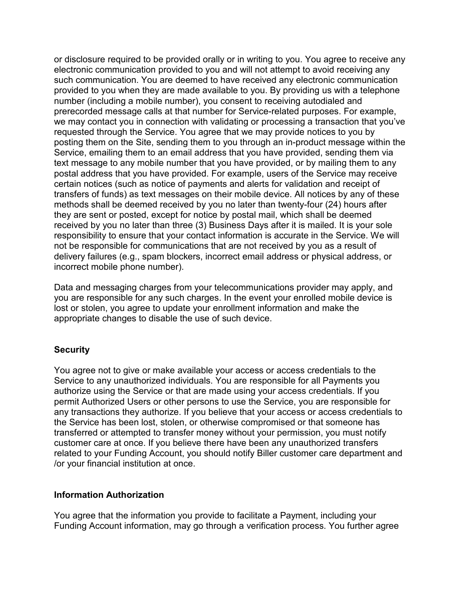or disclosure required to be provided orally or in writing to you. You agree to receive any electronic communication provided to you and will not attempt to avoid receiving any such communication. You are deemed to have received any electronic communication provided to you when they are made available to you. By providing us with a telephone number (including a mobile number), you consent to receiving autodialed and prerecorded message calls at that number for Service-related purposes. For example, we may contact you in connection with validating or processing a transaction that you've requested through the Service. You agree that we may provide notices to you by posting them on the Site, sending them to you through an in-product message within the Service, emailing them to an email address that you have provided, sending them via text message to any mobile number that you have provided, or by mailing them to any postal address that you have provided. For example, users of the Service may receive certain notices (such as notice of payments and alerts for validation and receipt of transfers of funds) as text messages on their mobile device. All notices by any of these methods shall be deemed received by you no later than twenty-four (24) hours after they are sent or posted, except for notice by postal mail, which shall be deemed received by you no later than three (3) Business Days after it is mailed. It is your sole responsibility to ensure that your contact information is accurate in the Service. We will not be responsible for communications that are not received by you as a result of delivery failures (e.g., spam blockers, incorrect email address or physical address, or incorrect mobile phone number).

Data and messaging charges from your telecommunications provider may apply, and you are responsible for any such charges. In the event your enrolled mobile device is lost or stolen, you agree to update your enrollment information and make the appropriate changes to disable the use of such device.

#### **Security**

You agree not to give or make available your access or access credentials to the Service to any unauthorized individuals. You are responsible for all Payments you authorize using the Service or that are made using your access credentials. If you permit Authorized Users or other persons to use the Service, you are responsible for any transactions they authorize. If you believe that your access or access credentials to the Service has been lost, stolen, or otherwise compromised or that someone has transferred or attempted to transfer money without your permission, you must notify customer care at once. If you believe there have been any unauthorized transfers related to your Funding Account, you should notify Biller customer care department and /or your financial institution at once.

#### **Information Authorization**

You agree that the information you provide to facilitate a Payment, including your Funding Account information, may go through a verification process. You further agree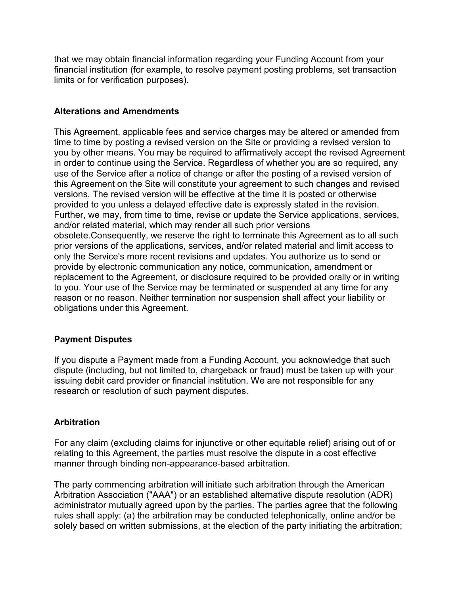that we may obtain financial information regarding your Funding Account from your financial institution (for example, to resolve payment posting problems, set transaction limits or for verification purposes).

## **Alterations and Amendments**

This Agreement, applicable fees and service charges may be altered or amended from time to time by posting a revised version on the Site or providing a revised version to you by other means. You may be required to affirmatively accept the revised Agreement in order to continue using the Service. Regardless of whether you are so required, any use of the Service after a notice of change or after the posting of a revised version of this Agreement on the Site will constitute your agreement to such changes and revised versions. The revised version will be effective at the time it is posted or otherwise provided to you unless a delayed effective date is expressly stated in the revision. Further, we may, from time to time, revise or update the Service applications, services, and/or related material, which may render all such prior versions obsolete.Consequently, we reserve the right to terminate this Agreement as to all such prior versions of the applications, services, and/or related material and limit access to only the Service's more recent revisions and updates. You authorize us to send or provide by electronic communication any notice, communication, amendment or replacement to the Agreement, or disclosure required to be provided orally or in writing to you. Your use of the Service may be terminated or suspended at any time for any reason or no reason. Neither termination nor suspension shall affect your liability or obligations under this Agreement.

#### **Payment Disputes**

If you dispute a Payment made from a Funding Account, you acknowledge that such dispute (including, but not limited to, chargeback or fraud) must be taken up with your issuing debit card provider or financial institution. We are not responsible for any research or resolution of such payment disputes.

#### **Arbitration**

For any claim (excluding claims for injunctive or other equitable relief) arising out of or relating to this Agreement, the parties must resolve the dispute in a cost effective manner through binding non-appearance-based arbitration.

The party commencing arbitration will initiate such arbitration through the American Arbitration Association ("AAA") or an established alternative dispute resolution (ADR) administrator mutually agreed upon by the parties. The parties agree that the following rules shall apply: (a) the arbitration may be conducted telephonically, online and/or be solely based on written submissions, at the election of the party initiating the arbitration;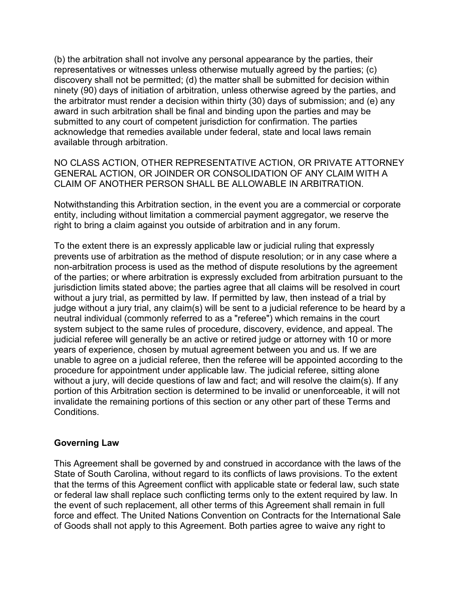(b) the arbitration shall not involve any personal appearance by the parties, their representatives or witnesses unless otherwise mutually agreed by the parties; (c) discovery shall not be permitted; (d) the matter shall be submitted for decision within ninety (90) days of initiation of arbitration, unless otherwise agreed by the parties, and the arbitrator must render a decision within thirty (30) days of submission; and (e) any award in such arbitration shall be final and binding upon the parties and may be submitted to any court of competent jurisdiction for confirmation. The parties acknowledge that remedies available under federal, state and local laws remain available through arbitration.

NO CLASS ACTION, OTHER REPRESENTATIVE ACTION, OR PRIVATE ATTORNEY GENERAL ACTION, OR JOINDER OR CONSOLIDATION OF ANY CLAIM WITH A CLAIM OF ANOTHER PERSON SHALL BE ALLOWABLE IN ARBITRATION.

Notwithstanding this Arbitration section, in the event you are a commercial or corporate entity, including without limitation a commercial payment aggregator, we reserve the right to bring a claim against you outside of arbitration and in any forum.

To the extent there is an expressly applicable law or judicial ruling that expressly prevents use of arbitration as the method of dispute resolution; or in any case where a non-arbitration process is used as the method of dispute resolutions by the agreement of the parties; or where arbitration is expressly excluded from arbitration pursuant to the jurisdiction limits stated above; the parties agree that all claims will be resolved in court without a jury trial, as permitted by law. If permitted by law, then instead of a trial by judge without a jury trial, any claim(s) will be sent to a judicial reference to be heard by a neutral individual (commonly referred to as a "referee") which remains in the court system subject to the same rules of procedure, discovery, evidence, and appeal. The judicial referee will generally be an active or retired judge or attorney with 10 or more years of experience, chosen by mutual agreement between you and us. If we are unable to agree on a judicial referee, then the referee will be appointed according to the procedure for appointment under applicable law. The judicial referee, sitting alone without a jury, will decide questions of law and fact; and will resolve the claim(s). If any portion of this Arbitration section is determined to be invalid or unenforceable, it will not invalidate the remaining portions of this section or any other part of these Terms and **Conditions** 

#### **Governing Law**

This Agreement shall be governed by and construed in accordance with the laws of the State of South Carolina, without regard to its conflicts of laws provisions. To the extent that the terms of this Agreement conflict with applicable state or federal law, such state or federal law shall replace such conflicting terms only to the extent required by law. In the event of such replacement, all other terms of this Agreement shall remain in full force and effect. The United Nations Convention on Contracts for the International Sale of Goods shall not apply to this Agreement. Both parties agree to waive any right to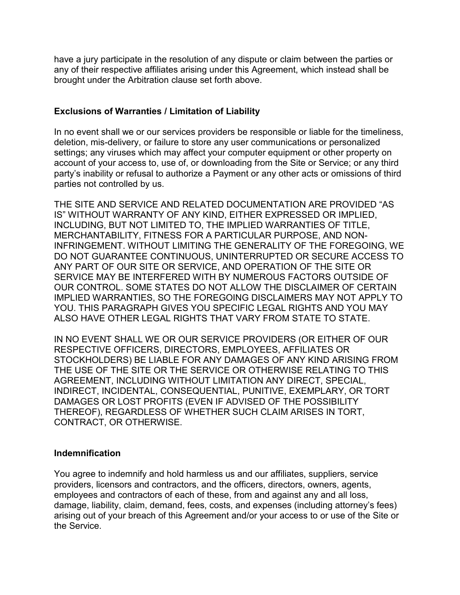have a jury participate in the resolution of any dispute or claim between the parties or any of their respective affiliates arising under this Agreement, which instead shall be brought under the Arbitration clause set forth above.

### **Exclusions of Warranties / Limitation of Liability**

In no event shall we or our services providers be responsible or liable for the timeliness, deletion, mis-delivery, or failure to store any user communications or personalized settings; any viruses which may affect your computer equipment or other property on account of your access to, use of, or downloading from the Site or Service; or any third party's inability or refusal to authorize a Payment or any other acts or omissions of third parties not controlled by us.

THE SITE AND SERVICE AND RELATED DOCUMENTATION ARE PROVIDED "AS IS" WITHOUT WARRANTY OF ANY KIND, EITHER EXPRESSED OR IMPLIED, INCLUDING, BUT NOT LIMITED TO, THE IMPLIED WARRANTIES OF TITLE, MERCHANTABILITY, FITNESS FOR A PARTICULAR PURPOSE, AND NON-INFRINGEMENT. WITHOUT LIMITING THE GENERALITY OF THE FOREGOING, WE DO NOT GUARANTEE CONTINUOUS, UNINTERRUPTED OR SECURE ACCESS TO ANY PART OF OUR SITE OR SERVICE, AND OPERATION OF THE SITE OR SERVICE MAY BE INTERFERED WITH BY NUMEROUS FACTORS OUTSIDE OF OUR CONTROL. SOME STATES DO NOT ALLOW THE DISCLAIMER OF CERTAIN IMPLIED WARRANTIES, SO THE FOREGOING DISCLAIMERS MAY NOT APPLY TO YOU. THIS PARAGRAPH GIVES YOU SPECIFIC LEGAL RIGHTS AND YOU MAY ALSO HAVE OTHER LEGAL RIGHTS THAT VARY FROM STATE TO STATE.

IN NO EVENT SHALL WE OR OUR SERVICE PROVIDERS (OR EITHER OF OUR RESPECTIVE OFFICERS, DIRECTORS, EMPLOYEES, AFFILIATES OR STOCKHOLDERS) BE LIABLE FOR ANY DAMAGES OF ANY KIND ARISING FROM THE USE OF THE SITE OR THE SERVICE OR OTHERWISE RELATING TO THIS AGREEMENT, INCLUDING WITHOUT LIMITATION ANY DIRECT, SPECIAL, INDIRECT, INCIDENTAL, CONSEQUENTIAL, PUNITIVE, EXEMPLARY, OR TORT DAMAGES OR LOST PROFITS (EVEN IF ADVISED OF THE POSSIBILITY THEREOF), REGARDLESS OF WHETHER SUCH CLAIM ARISES IN TORT, CONTRACT, OR OTHERWISE.

#### **Indemnification**

You agree to indemnify and hold harmless us and our affiliates, suppliers, service providers, licensors and contractors, and the officers, directors, owners, agents, employees and contractors of each of these, from and against any and all loss, damage, liability, claim, demand, fees, costs, and expenses (including attorney's fees) arising out of your breach of this Agreement and/or your access to or use of the Site or the Service.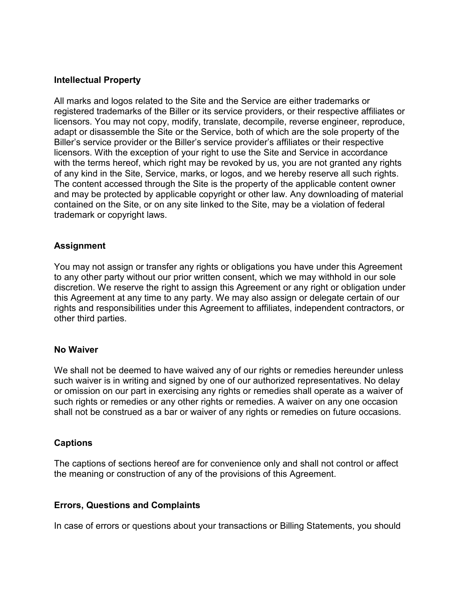#### **Intellectual Property**

All marks and logos related to the Site and the Service are either trademarks or registered trademarks of the Biller or its service providers, or their respective affiliates or licensors. You may not copy, modify, translate, decompile, reverse engineer, reproduce, adapt or disassemble the Site or the Service, both of which are the sole property of the Biller's service provider or the Biller's service provider's affiliates or their respective licensors. With the exception of your right to use the Site and Service in accordance with the terms hereof, which right may be revoked by us, you are not granted any rights of any kind in the Site, Service, marks, or logos, and we hereby reserve all such rights. The content accessed through the Site is the property of the applicable content owner and may be protected by applicable copyright or other law. Any downloading of material contained on the Site, or on any site linked to the Site, may be a violation of federal trademark or copyright laws.

#### **Assignment**

You may not assign or transfer any rights or obligations you have under this Agreement to any other party without our prior written consent, which we may withhold in our sole discretion. We reserve the right to assign this Agreement or any right or obligation under this Agreement at any time to any party. We may also assign or delegate certain of our rights and responsibilities under this Agreement to affiliates, independent contractors, or other third parties.

#### **No Waiver**

We shall not be deemed to have waived any of our rights or remedies hereunder unless such waiver is in writing and signed by one of our authorized representatives. No delay or omission on our part in exercising any rights or remedies shall operate as a waiver of such rights or remedies or any other rights or remedies. A waiver on any one occasion shall not be construed as a bar or waiver of any rights or remedies on future occasions.

#### **Captions**

The captions of sections hereof are for convenience only and shall not control or affect the meaning or construction of any of the provisions of this Agreement.

#### **Errors, Questions and Complaints**

In case of errors or questions about your transactions or Billing Statements, you should